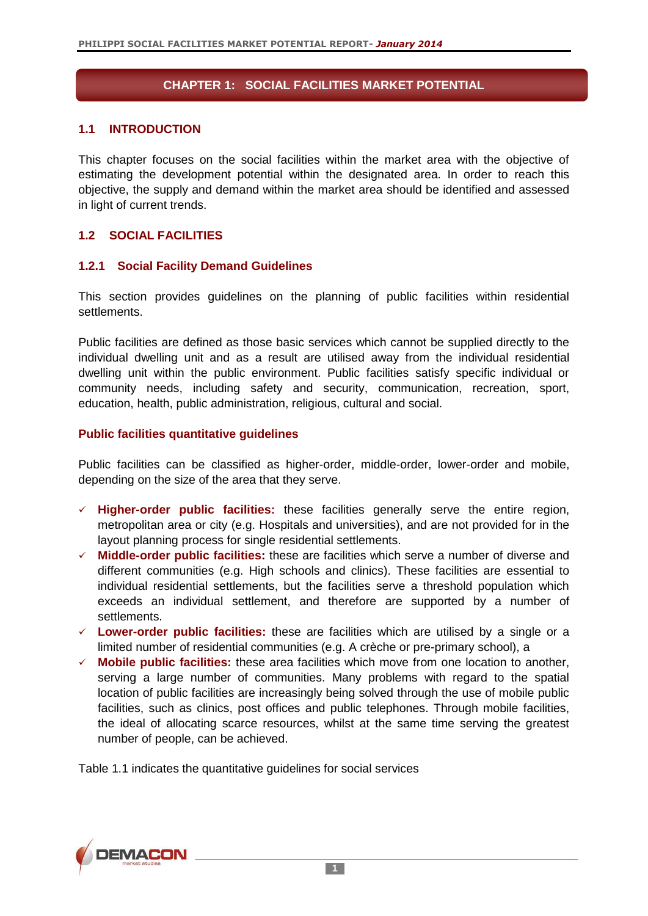## **CHAPTER 1: SOCIAL FACILITIES MARKET POTENTIAL**

#### **1.1 INTRODUCTION**

This chapter focuses on the social facilities within the market area with the objective of estimating the development potential within the designated area. In order to reach this objective, the supply and demand within the market area should be identified and assessed in light of current trends.

### **1.2 SOCIAL FACILITIES**

#### **1.2.1 Social Facility Demand Guidelines**

This section provides guidelines on the planning of public facilities within residential settlements.

Public facilities are defined as those basic services which cannot be supplied directly to the individual dwelling unit and as a result are utilised away from the individual residential dwelling unit within the public environment. Public facilities satisfy specific individual or community needs, including safety and security, communication, recreation, sport, education, health, public administration, religious, cultural and social.

#### **Public facilities quantitative guidelines**

Public facilities can be classified as higher-order, middle-order, lower-order and mobile, depending on the size of the area that they serve.

- **Higher-order public facilities:** these facilities generally serve the entire region, metropolitan area or city (e.g. Hospitals and universities), and are not provided for in the layout planning process for single residential settlements.
- **Middle-order public facilities:** these are facilities which serve a number of diverse and different communities (e.g. High schools and clinics). These facilities are essential to individual residential settlements, but the facilities serve a threshold population which exceeds an individual settlement, and therefore are supported by a number of settlements.
- **Lower-order public facilities:** these are facilities which are utilised by a single or a limited number of residential communities (e.g. A crèche or pre-primary school), a
- **Mobile public facilities:** these area facilities which move from one location to another, serving a large number of communities. Many problems with regard to the spatial location of public facilities are increasingly being solved through the use of mobile public facilities, such as clinics, post offices and public telephones. Through mobile facilities, the ideal of allocating scarce resources, whilst at the same time serving the greatest number of people, can be achieved.

Table 1.1 indicates the quantitative guidelines for social services

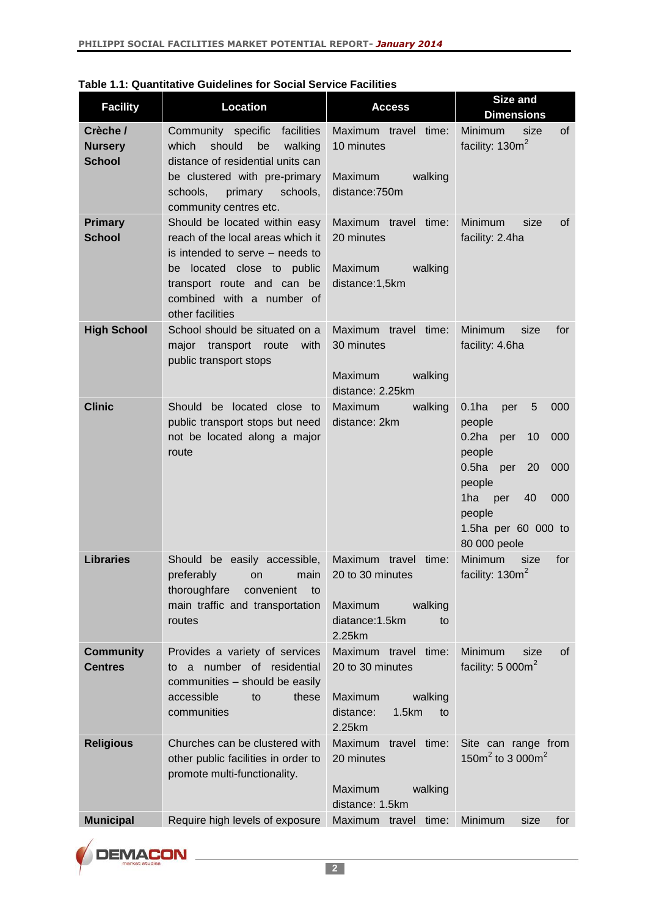| <b>Facility</b>                             | Location                                                                                                                                                                                                           | <b>Access</b>                                                                                        | Size and<br><b>Dimensions</b>                                                                                                                                                                                        |
|---------------------------------------------|--------------------------------------------------------------------------------------------------------------------------------------------------------------------------------------------------------------------|------------------------------------------------------------------------------------------------------|----------------------------------------------------------------------------------------------------------------------------------------------------------------------------------------------------------------------|
| Crèche /<br><b>Nursery</b><br><b>School</b> | Community specific<br>facilities<br>which<br>should<br>be<br>walking<br>distance of residential units can<br>be clustered with pre-primary<br>schools,<br>primary<br>schools,<br>community centres etc.            | Maximum travel time:<br>10 minutes<br>Maximum<br>walking<br>distance:750m                            | of<br>Minimum<br>size<br>facility: 130m <sup>2</sup>                                                                                                                                                                 |
| <b>Primary</b><br><b>School</b>             | Should be located within easy<br>reach of the local areas which it<br>is intended to serve - needs to<br>be located close to public<br>transport route and can be<br>combined with a number of<br>other facilities | Maximum travel time:<br>20 minutes<br>Maximum<br>walking<br>distance:1,5km                           | Minimum<br>size<br>0f<br>facility: 2.4ha                                                                                                                                                                             |
| <b>High School</b>                          | School should be situated on a<br>major transport route<br>with<br>public transport stops                                                                                                                          | Maximum travel time:<br>30 minutes<br>Maximum<br>walking<br>distance: 2.25km                         | Minimum<br>for<br>size<br>facility: 4.6ha                                                                                                                                                                            |
| <b>Clinic</b>                               | Should be located close to<br>public transport stops but need<br>not be located along a major<br>route                                                                                                             | Maximum<br>walking<br>distance: 2km                                                                  | 0.1 <sub>ha</sub><br>5<br>000<br>per<br>people<br>0.2ha<br>000<br>per<br>10<br>people<br>0.5 <sub>ha</sub><br>000<br>per<br>20<br>people<br>1ha<br>40<br>000<br>per<br>people<br>1.5ha per 60 000 to<br>80 000 peole |
| <b>Libraries</b>                            | Should be easily accessible,<br>preferably on main<br>thoroughfare<br>convenient<br>to<br>main traffic and transportation<br>routes                                                                                | Maximum travel time:<br>20 to 30 minutes<br>Maximum<br>walking<br>diatance: 1.5km<br>to<br>2.25km    | <b>Minimum</b><br>for<br>size<br>facility: 130m <sup>2</sup>                                                                                                                                                         |
| <b>Community</b><br><b>Centres</b>          | Provides a variety of services<br>to a number of residential<br>communities - should be easily<br>accessible<br>these<br>to<br>communities                                                                         | Maximum travel time:<br>20 to 30 minutes<br>Maximum<br>walking<br>distance:<br>1.5km<br>to<br>2.25km | Minimum<br>size<br>0f<br>facility: $5000m^2$                                                                                                                                                                         |
| <b>Religious</b>                            | Churches can be clustered with<br>other public facilities in order to<br>promote multi-functionality.                                                                                                              | Maximum travel time:<br>20 minutes<br>Maximum<br>walking<br>distance: 1.5km                          | Site can range from<br>150 $m^2$ to 3 000 $m^2$                                                                                                                                                                      |
| <b>Municipal</b>                            | Require high levels of exposure                                                                                                                                                                                    | Maximum travel time:                                                                                 | Minimum<br>size<br>for                                                                                                                                                                                               |

| Table 1.1: Quantitative Guidelines for Social Service Facilities |  |
|------------------------------------------------------------------|--|
|------------------------------------------------------------------|--|

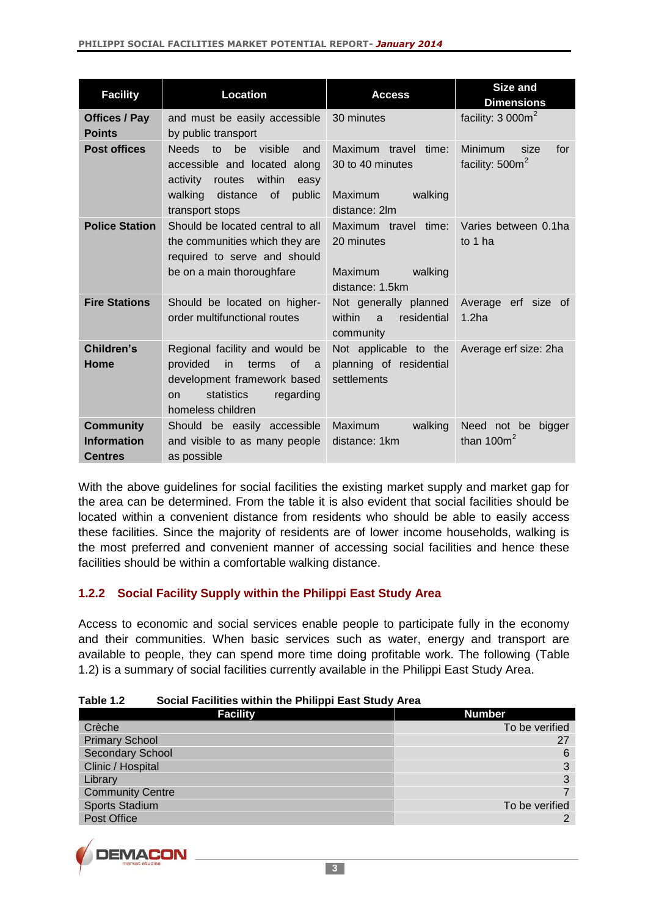| <b>Facility</b>                                          | Location                                                                                                                                                                           | <b>Access</b>                                                                      | <b>Size and</b><br><b>Dimensions</b>                         |
|----------------------------------------------------------|------------------------------------------------------------------------------------------------------------------------------------------------------------------------------------|------------------------------------------------------------------------------------|--------------------------------------------------------------|
| <b>Offices / Pay</b><br><b>Points</b>                    | and must be easily accessible<br>by public transport                                                                                                                               | 30 minutes                                                                         | facility: $3000m^2$                                          |
| <b>Post offices</b>                                      | <b>Needs</b><br>be<br>visible<br>$\overline{a}$<br>and<br>accessible and located along<br>activity<br>routes<br>within<br>easy<br>walking distance of<br>public<br>transport stops | Maximum travel time:<br>30 to 40 minutes<br>Maximum<br>walking<br>distance: 2lm    | <b>Minimum</b><br>for<br>size<br>facility: 500m <sup>2</sup> |
| <b>Police Station</b>                                    | Should be located central to all<br>the communities which they are<br>required to serve and should<br>be on a main thoroughfare                                                    | Maximum travel time:<br>20 minutes<br><b>Maximum</b><br>walking<br>distance: 1.5km | Varies between 0.1ha<br>to 1 ha                              |
| <b>Fire Stations</b>                                     | Should be located on higher-<br>order multifunctional routes                                                                                                                       | Not generally planned<br>within<br>residential<br>$\mathbf{a}$<br>community        | Average erf size of<br>1.2 <sub>ha</sub>                     |
| Children's<br>Home                                       | Regional facility and would be<br>provided<br>in<br><sub>of</sub><br>terms<br>a<br>development framework based<br>statistics<br>regarding<br><b>on</b><br>homeless children        | Not applicable to the<br>planning of residential<br>settlements                    | Average erf size: 2ha                                        |
| <b>Community</b><br><b>Information</b><br><b>Centres</b> | Should be easily accessible<br>and visible to as many people<br>as possible                                                                                                        | Maximum<br>walking<br>distance: 1km                                                | Need not be<br>bigger<br>than $100m2$                        |

With the above guidelines for social facilities the existing market supply and market gap for the area can be determined. From the table it is also evident that social facilities should be located within a convenient distance from residents who should be able to easily access these facilities. Since the majority of residents are of lower income households, walking is the most preferred and convenient manner of accessing social facilities and hence these facilities should be within a comfortable walking distance.

# **1.2.2 Social Facility Supply within the Philippi East Study Area**

Access to economic and social services enable people to participate fully in the economy and their communities. When basic services such as water, energy and transport are available to people, they can spend more time doing profitable work. The following (Table 1.2) is a summary of social facilities currently available in the Philippi East Study Area.

### **Table 1.2 Social Facilities within the Philippi East Study Area**

| <b>Facility</b>         | <b>Number</b>  |
|-------------------------|----------------|
| Crèche                  | To be verified |
| <b>Primary School</b>   | 27             |
| <b>Secondary School</b> | 6              |
| Clinic / Hospital       | 3              |
| Library                 | 3              |
| <b>Community Centre</b> |                |
| Sports Stadium          | To be verified |
| Post Office             | っ              |